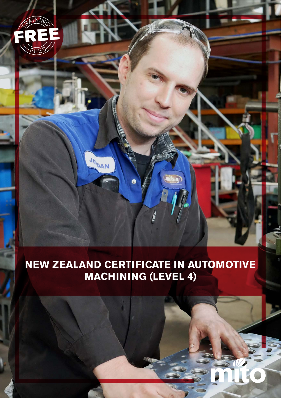

# **NEW ZEALAND CERTIFICATE IN AUTOMOTIVE MACHINING (LEVEL 4)**

JOBAN

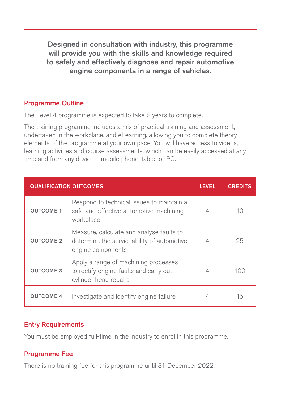Designed in consultation with industry, this programme will provide you with the skills and knowledge required to safely and effectively diagnose and repair automotive engine components in a range of vehicles.

#### Programme Outline

The Level 4 programme is expected to take 2 years to complete.

The training programme includes a mix of practical training and assessment, undertaken in the workplace, and eLearning, allowing you to complete theory elements of the programme at your own pace. You will have access to videos, learning activities and course assessments, which can be easily accessed at any time and from any device – mobile phone, tablet or PC.

| <b>QUALIFICATION OUTCOMES</b> |                                                                                                             | <b>LEVEL</b> | <b>CREDITS</b> |
|-------------------------------|-------------------------------------------------------------------------------------------------------------|--------------|----------------|
| <b>OUTCOME 1</b>              | Respond to technical issues to maintain a<br>safe and effective automotive machining<br>workplace           |              | 10             |
| <b>OUTCOME 2</b>              | Measure, calculate and analyse faults to<br>determine the serviceability of automotive<br>engine components |              | 25             |
| <b>OUTCOME 3</b>              | Apply a range of machining processes<br>to rectify engine faults and carry out<br>cylinder head repairs     |              | 100            |
| <b>OUTCOME 4</b>              | Investigate and identify engine failure                                                                     |              | 15             |

### Entry Requirements

You must be employed full-time in the industry to enrol in this programme.

### Programme Fee

There is no training fee for this programme until 31 December 2022.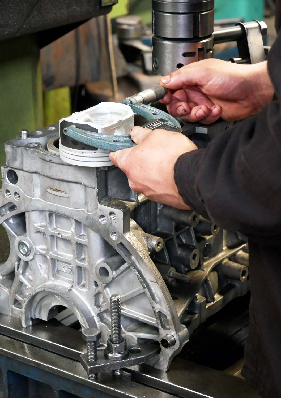